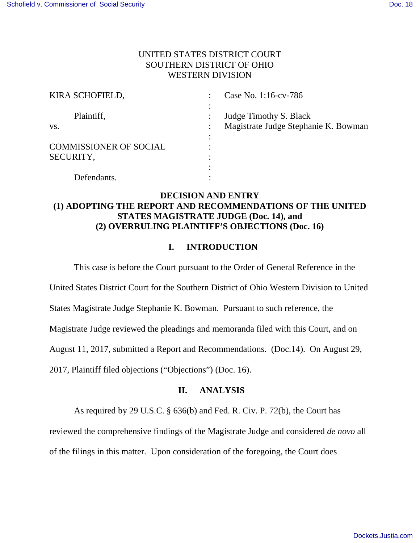## UNITED STATES DISTRICT COURT SOUTHERN DISTRICT OF OHIO WESTERN DIVISION

| KIRA SCHOFIELD,               |           | Case No. 1:16-cv-786                 |
|-------------------------------|-----------|--------------------------------------|
| Plaintiff,                    |           | Judge Timothy S. Black               |
| VS.                           |           | Magistrate Judge Stephanie K. Bowman |
|                               |           |                                      |
| <b>COMMISSIONER OF SOCIAL</b> |           |                                      |
| SECURITY,                     | $\bullet$ |                                      |
|                               |           |                                      |
| Defendants.                   |           |                                      |

# **DECISION AND ENTRY (1) ADOPTING THE REPORT AND RECOMMENDATIONS OF THE UNITED STATES MAGISTRATE JUDGE (Doc. 14), and (2) OVERRULING PLAINTIFF'S OBJECTIONS (Doc. 16)**

# **I. INTRODUCTION**

This case is before the Court pursuant to the Order of General Reference in the

United States District Court for the Southern District of Ohio Western Division to United

States Magistrate Judge Stephanie K. Bowman. Pursuant to such reference, the

Magistrate Judge reviewed the pleadings and memoranda filed with this Court, and on

August 11, 2017, submitted a Report and Recommendations. (Doc.14). On August 29,

2017, Plaintiff filed objections ("Objections") (Doc. 16).

#### **II. ANALYSIS**

As required by 29 U.S.C. § 636(b) and Fed. R. Civ. P. 72(b), the Court has

reviewed the comprehensive findings of the Magistrate Judge and considered *de novo* all

of the filings in this matter. Upon consideration of the foregoing, the Court does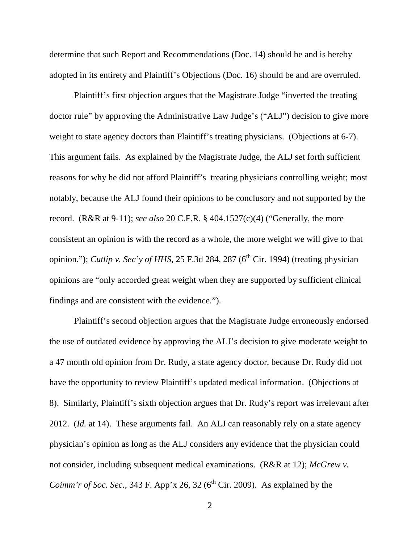determine that such Report and Recommendations (Doc. 14) should be and is hereby adopted in its entirety and Plaintiff's Objections (Doc. 16) should be and are overruled.

Plaintiff's first objection argues that the Magistrate Judge "inverted the treating doctor rule" by approving the Administrative Law Judge's ("ALJ") decision to give more weight to state agency doctors than Plaintiff's treating physicians. (Objections at 6-7). This argument fails. As explained by the Magistrate Judge, the ALJ set forth sufficient reasons for why he did not afford Plaintiff's treating physicians controlling weight; most notably, because the ALJ found their opinions to be conclusory and not supported by the record. (R&R at 9-11); *see also* 20 C.F.R. § 404.1527(c)(4) ("Generally, the more consistent an opinion is with the record as a whole, the more weight we will give to that opinion."); *Cutlip v. Sec'y of HHS*, 25 F.3d 284, 287 ( $6<sup>th</sup>$  Cir. 1994) (treating physician opinions are "only accorded great weight when they are supported by sufficient clinical findings and are consistent with the evidence.").

Plaintiff's second objection argues that the Magistrate Judge erroneously endorsed the use of outdated evidence by approving the ALJ's decision to give moderate weight to a 47 month old opinion from Dr. Rudy, a state agency doctor, because Dr. Rudy did not have the opportunity to review Plaintiff's updated medical information. (Objections at 8). Similarly, Plaintiff's sixth objection argues that Dr. Rudy's report was irrelevant after 2012. (*Id.* at 14). These arguments fail. An ALJ can reasonably rely on a state agency physician's opinion as long as the ALJ considers any evidence that the physician could not consider, including subsequent medical examinations. (R&R at 12); *McGrew v. Coimm'r of Soc. Sec.*, 343 F. App'x 26, 32 ( $6<sup>th</sup>$  Cir. 2009). As explained by the

2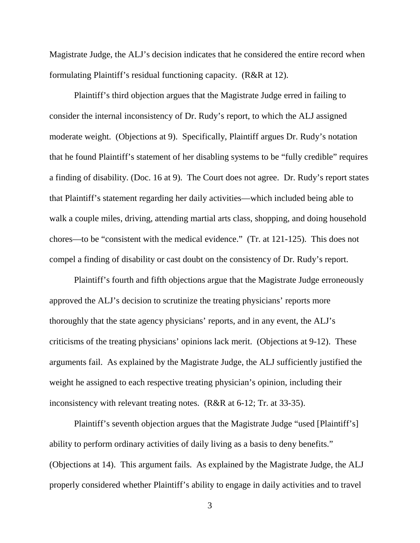Magistrate Judge, the ALJ's decision indicates that he considered the entire record when formulating Plaintiff's residual functioning capacity. (R&R at 12).

Plaintiff's third objection argues that the Magistrate Judge erred in failing to consider the internal inconsistency of Dr. Rudy's report, to which the ALJ assigned moderate weight. (Objections at 9). Specifically, Plaintiff argues Dr. Rudy's notation that he found Plaintiff's statement of her disabling systems to be "fully credible" requires a finding of disability. (Doc. 16 at 9). The Court does not agree. Dr. Rudy's report states that Plaintiff's statement regarding her daily activities—which included being able to walk a couple miles, driving, attending martial arts class, shopping, and doing household chores—to be "consistent with the medical evidence." (Tr. at 121-125). This does not compel a finding of disability or cast doubt on the consistency of Dr. Rudy's report.

Plaintiff's fourth and fifth objections argue that the Magistrate Judge erroneously approved the ALJ's decision to scrutinize the treating physicians' reports more thoroughly that the state agency physicians' reports, and in any event, the ALJ's criticisms of the treating physicians' opinions lack merit. (Objections at 9-12). These arguments fail. As explained by the Magistrate Judge, the ALJ sufficiently justified the weight he assigned to each respective treating physician's opinion, including their inconsistency with relevant treating notes. (R&R at 6-12; Tr. at 33-35).

Plaintiff's seventh objection argues that the Magistrate Judge "used [Plaintiff's] ability to perform ordinary activities of daily living as a basis to deny benefits." (Objections at 14). This argument fails. As explained by the Magistrate Judge, the ALJ properly considered whether Plaintiff's ability to engage in daily activities and to travel

<sup>3</sup>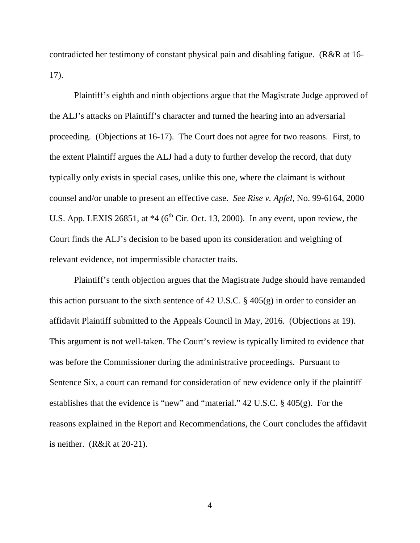contradicted her testimony of constant physical pain and disabling fatigue. (R&R at 16- 17).

Plaintiff's eighth and ninth objections argue that the Magistrate Judge approved of the ALJ's attacks on Plaintiff's character and turned the hearing into an adversarial proceeding. (Objections at 16-17). The Court does not agree for two reasons. First, to the extent Plaintiff argues the ALJ had a duty to further develop the record, that duty typically only exists in special cases, unlike this one, where the claimant is without counsel and/or unable to present an effective case. *See Rise v. Apfel*, No. 99-6164, 2000 U.S. App. LEXIS 26851, at  $*4$  (6<sup>th</sup> Cir. Oct. 13, 2000). In any event, upon review, the Court finds the ALJ's decision to be based upon its consideration and weighing of relevant evidence, not impermissible character traits.

Plaintiff's tenth objection argues that the Magistrate Judge should have remanded this action pursuant to the sixth sentence of 42 U.S.C.  $\S$  405(g) in order to consider an affidavit Plaintiff submitted to the Appeals Council in May, 2016. (Objections at 19). This argument is not well-taken. The Court's review is typically limited to evidence that was before the Commissioner during the administrative proceedings. Pursuant to Sentence Six, a court can remand for consideration of new evidence only if the plaintiff establishes that the evidence is "new" and "material." 42 U.S.C. § 405(g). For the reasons explained in the Report and Recommendations, the Court concludes the affidavit is neither. (R&R at 20-21).

4